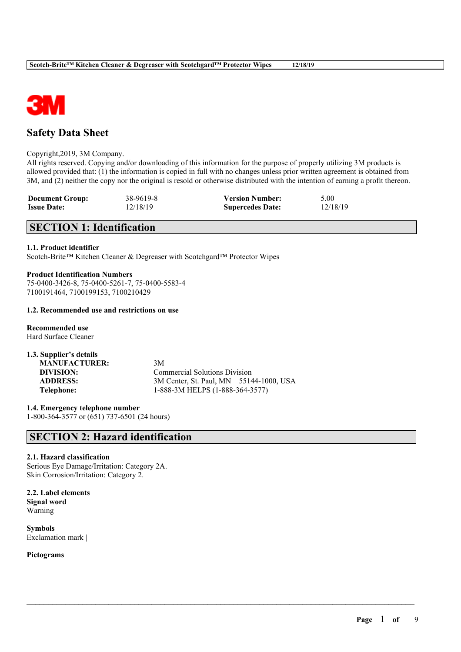

# **Safety Data Sheet**

#### Copyright,2019, 3M Company.

All rights reserved. Copying and/or downloading of this information for the purpose of properly utilizing 3M products is allowed provided that: (1) the information is copied in full with no changes unless prior written agreement is obtained from 3M, and (2) neither the copy nor the original is resold or otherwise distributed with the intention of earning a profit thereon.

 $\mathcal{L}_\mathcal{L} = \mathcal{L}_\mathcal{L} = \mathcal{L}_\mathcal{L} = \mathcal{L}_\mathcal{L} = \mathcal{L}_\mathcal{L} = \mathcal{L}_\mathcal{L} = \mathcal{L}_\mathcal{L} = \mathcal{L}_\mathcal{L} = \mathcal{L}_\mathcal{L} = \mathcal{L}_\mathcal{L} = \mathcal{L}_\mathcal{L} = \mathcal{L}_\mathcal{L} = \mathcal{L}_\mathcal{L} = \mathcal{L}_\mathcal{L} = \mathcal{L}_\mathcal{L} = \mathcal{L}_\mathcal{L} = \mathcal{L}_\mathcal{L}$ 

| <b>Document Group:</b> | 38-9619-8 | <b>Version Number:</b>  | 5.00     |
|------------------------|-----------|-------------------------|----------|
| <b>Issue Date:</b>     | 12/18/19  | <b>Supercedes Date:</b> | 12/18/19 |

# **SECTION 1: Identification**

#### **1.1. Product identifier**

Scotch-Brite™ Kitchen Cleaner & Degreaser with Scotchgard™ Protector Wipes

### **Product Identification Numbers** 75-0400-3426-8, 75-0400-5261-7, 75-0400-5583-4 7100191464, 7100199153, 7100210429

#### **1.2. Recommended use and restrictions on use**

**Recommended use** Hard Surface Cleaner

| 1.3. Supplier's details |                                         |
|-------------------------|-----------------------------------------|
| <b>MANUFACTURER:</b>    | 3M                                      |
| DIVISION:               | <b>Commercial Solutions Division</b>    |
| <b>ADDRESS:</b>         | 3M Center, St. Paul, MN 55144-1000, USA |
| Telephone:              | 1-888-3M HELPS (1-888-364-3577)         |

**1.4. Emergency telephone number** 1-800-364-3577 or (651) 737-6501 (24 hours)

# **SECTION 2: Hazard identification**

## **2.1. Hazard classification**

Serious Eye Damage/Irritation: Category 2A. Skin Corrosion/Irritation: Category 2.

**2.2. Label elements Signal word** Warning

**Symbols** Exclamation mark |

**Pictograms**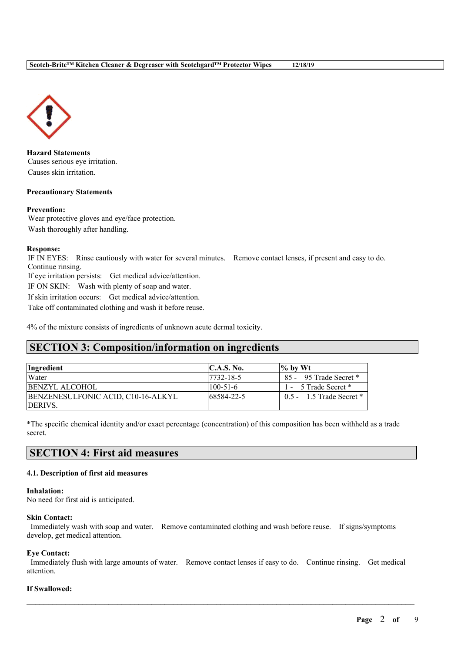

**Hazard Statements** Causes serious eye irritation. Causes skin irritation.

## **Precautionary Statements**

#### **Prevention:**

Wear protective gloves and eye/face protection. Wash thoroughly after handling.

#### **Response:**

IF IN EYES: Rinse cautiously with water for several minutes. Remove contact lenses, if present and easy to do. Continue rinsing.

If eye irritation persists: Get medical advice/attention.

IF ON SKIN: Wash with plenty of soap and water.

If skin irritation occurs: Get medical advice/attention.

Take off contaminated clothing and wash it before reuse.

4% of the mixture consists of ingredients of unknown acute dermal toxicity.

# **SECTION 3: Composition/information on ingredients**

| <i>Ingredient</i>                  | C.A.S. No.       | $\frac{1}{2}$ by Wt          |
|------------------------------------|------------------|------------------------------|
| Water                              | $17732 - 18 - 5$ | 85 - 95 Trade Secret *       |
| <b>BENZYL ALCOHOL</b>              | $100 - 51 - 6$   | 1 - 5 Trade Secret *         |
| BENZENESULFONIC ACID, C10-16-ALKYL | 68584-22-5       | $0.5 - 1.5$ Trade Secret $*$ |
| <b>IDERIVS.</b>                    |                  |                              |

\*The specific chemical identity and/or exact percentage (concentration) of this composition has been withheld as a trade secret.

# **SECTION 4: First aid measures**

### **4.1. Description of first aid measures**

#### **Inhalation:**

No need for first aid is anticipated.

#### **Skin Contact:**

Immediately wash with soap and water. Remove contaminated clothing and wash before reuse. If signs/symptoms develop, get medical attention.

#### **Eye Contact:**

Immediately flush with large amounts of water. Remove contact lenses if easy to do. Continue rinsing. Get medical attention.

 $\mathcal{L}_\mathcal{L} = \mathcal{L}_\mathcal{L} = \mathcal{L}_\mathcal{L} = \mathcal{L}_\mathcal{L} = \mathcal{L}_\mathcal{L} = \mathcal{L}_\mathcal{L} = \mathcal{L}_\mathcal{L} = \mathcal{L}_\mathcal{L} = \mathcal{L}_\mathcal{L} = \mathcal{L}_\mathcal{L} = \mathcal{L}_\mathcal{L} = \mathcal{L}_\mathcal{L} = \mathcal{L}_\mathcal{L} = \mathcal{L}_\mathcal{L} = \mathcal{L}_\mathcal{L} = \mathcal{L}_\mathcal{L} = \mathcal{L}_\mathcal{L}$ 

### **If Swallowed:**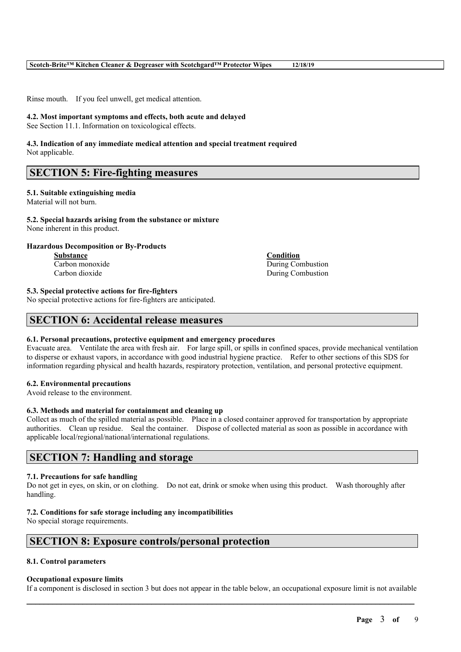Rinse mouth. If you feel unwell, get medical attention.

# **4.2. Most important symptoms and effects, both acute and delayed**

See Section 11.1. Information on toxicological effects.

### **4.3. Indication of any immediate medical attention and special treatment required** Not applicable.

# **SECTION 5: Fire-fighting measures**

# **5.1. Suitable extinguishing media**

Material will not burn.

#### **5.2. Special hazards arising from the substance or mixture** None inherent in this product.

# **Hazardous Decomposition or By-Products**

**Substance Condition**

**Carbon monoxide** During Combustion Carbon dioxide During Combustion

# **5.3. Special protective actions for fire-fighters**

No special protective actions for fire-fighters are anticipated.

# **SECTION 6: Accidental release measures**

# **6.1. Personal precautions, protective equipment and emergency procedures**

Evacuate area. Ventilate the area with fresh air. For large spill, or spills in confined spaces, provide mechanical ventilation to disperse or exhaust vapors, in accordance with good industrial hygiene practice. Refer to other sections of this SDS for information regarding physical and health hazards, respiratory protection, ventilation, and personal protective equipment.

# **6.2. Environmental precautions**

Avoid release to the environment.

### **6.3. Methods and material for containment and cleaning up**

Collect as much of the spilled material as possible. Place in a closed container approved for transportation by appropriate authorities. Clean up residue. Seal the container. Dispose of collected material as soon as possible in accordance with applicable local/regional/national/international regulations.

# **SECTION 7: Handling and storage**

### **7.1. Precautions for safe handling**

Do not get in eyes, on skin, or on clothing. Do not eat, drink or smoke when using this product. Wash thoroughly after handling.

# **7.2. Conditions for safe storage including any incompatibilities**

No special storage requirements.

# **SECTION 8: Exposure controls/personal protection**

# **8.1. Control parameters**

### **Occupational exposure limits**

 $\mathcal{L}_\mathcal{L} = \mathcal{L}_\mathcal{L} = \mathcal{L}_\mathcal{L} = \mathcal{L}_\mathcal{L} = \mathcal{L}_\mathcal{L} = \mathcal{L}_\mathcal{L} = \mathcal{L}_\mathcal{L} = \mathcal{L}_\mathcal{L} = \mathcal{L}_\mathcal{L} = \mathcal{L}_\mathcal{L} = \mathcal{L}_\mathcal{L} = \mathcal{L}_\mathcal{L} = \mathcal{L}_\mathcal{L} = \mathcal{L}_\mathcal{L} = \mathcal{L}_\mathcal{L} = \mathcal{L}_\mathcal{L} = \mathcal{L}_\mathcal{L}$ If a component is disclosed in section 3 but does not appear in the table below, an occupational exposure limit is not available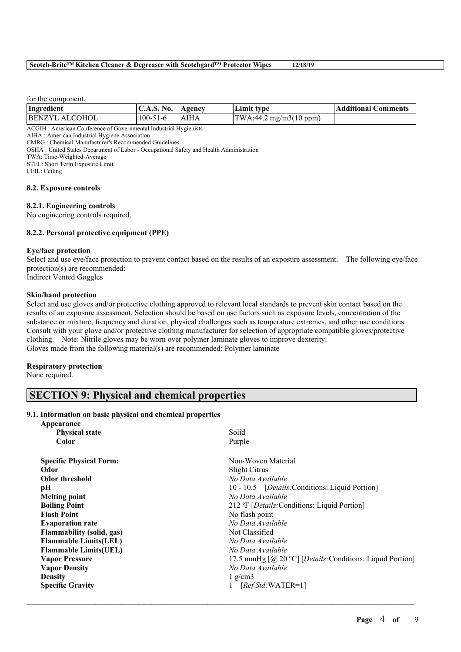#### **Scotch-Brite™ Kitchen Cleaner & Degreaser with Scotchgard™ Protector Wipes 12/18/19**

for the component.

| Ingredient     | C.A.S. No.     | Agency | Limit type                                      | <b>Additional Comments</b> |
|----------------|----------------|--------|-------------------------------------------------|----------------------------|
| BENZYL ALCOHOL | $100 - 51 - 6$ | AIHA   | $\text{TWA}:44.2 \text{ mg/m3}(10 \text{ ppm})$ |                            |

ACGIH : American Conference of Governmental Industrial Hygienists

CMRG : Chemical Manufacturer's Recommended Guidelines

OSHA : United States Department of Labor - Occupational Safety and Health Administration

TWA: Time-Weighted-Average

STEL: Short Term Exposure Limit

CEIL: Ceiling

#### **8.2. Exposure controls**

#### **8.2.1. Engineering controls**

No engineering controls required.

### **8.2.2. Personal protective equipment (PPE)**

#### **Eye/face protection**

Select and use eye/face protection to prevent contact based on the results of an exposure assessment. The following eye/face protection(s) are recommended: Indirect Vented Goggles

**Skin/hand protection**

Select and use gloves and/or protective clothing approved to relevant local standards to prevent skin contact based on the results of an exposure assessment. Selection should be based on use factors such as exposure levels, concentration of the substance or mixture, frequency and duration, physical challenges such as temperature extremes, and other use conditions. Consult with your glove and/or protective clothing manufacturer for selection of appropriate compatible gloves/protective clothing. Note: Nitrile gloves may be worn over polymer laminate gloves to improve dexterity. Gloves made from the following material(s) are recommended: Polymer laminate

#### **Respiratory protection**

None required.

# **SECTION 9: Physical and chemical properties**

#### **9.1. Information on basic physical and chemical properties**

| Solid                                                     |
|-----------------------------------------------------------|
| Purple                                                    |
| Non-Woven Material                                        |
| <b>Slight Citrus</b>                                      |
| No Data Available                                         |
| 10 - 10.5 [Details: Conditions: Liquid Portion]           |
| No Data Available                                         |
| 212 °F [Details: Conditions: Liquid Portion]              |
| No flash point                                            |
| No Data Available                                         |
| Not Classified                                            |
| No Data Available                                         |
| No Data Available                                         |
| 17.5 mmHg [@ 20 °C] [Details: Conditions: Liquid Portion] |
| No Data Available                                         |
| $1$ g/cm3                                                 |
| $[RefStd:WATER=1]$                                        |
|                                                           |

 $\mathcal{L}_\mathcal{L} = \mathcal{L}_\mathcal{L} = \mathcal{L}_\mathcal{L} = \mathcal{L}_\mathcal{L} = \mathcal{L}_\mathcal{L} = \mathcal{L}_\mathcal{L} = \mathcal{L}_\mathcal{L} = \mathcal{L}_\mathcal{L} = \mathcal{L}_\mathcal{L} = \mathcal{L}_\mathcal{L} = \mathcal{L}_\mathcal{L} = \mathcal{L}_\mathcal{L} = \mathcal{L}_\mathcal{L} = \mathcal{L}_\mathcal{L} = \mathcal{L}_\mathcal{L} = \mathcal{L}_\mathcal{L} = \mathcal{L}_\mathcal{L}$ 

AIHA : American Industrial Hygiene Association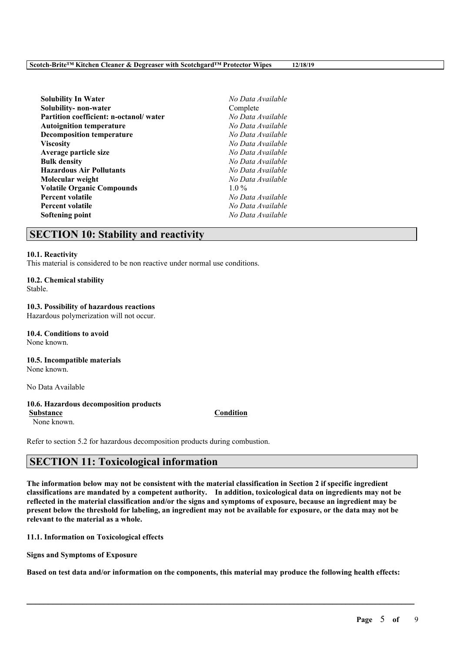| <b>Solubility In Water</b>             | No Data Available |
|----------------------------------------|-------------------|
| Solubility- non-water                  | Complete          |
| Partition coefficient: n-octanol/water | No Data Available |
| <b>Autoignition temperature</b>        | No Data Available |
| <b>Decomposition temperature</b>       | No Data Available |
| <b>Viscosity</b>                       | No Data Available |
| Average particle size                  | No Data Available |
| <b>Bulk density</b>                    | No Data Available |
| <b>Hazardous Air Pollutants</b>        | No Data Available |
| Molecular weight                       | No Data Available |
| <b>Volatile Organic Compounds</b>      | $1.0\%$           |
| <b>Percent volatile</b>                | No Data Available |
| <b>Percent volatile</b>                | No Data Available |
| Softening point                        | No Data Available |

# **SECTION 10: Stability and reactivity**

#### **10.1. Reactivity**

This material is considered to be non reactive under normal use conditions.

# **10.2. Chemical stability**

Stable.

#### **10.3. Possibility of hazardous reactions**

Hazardous polymerization will not occur.

#### **10.4. Conditions to avoid** None known.

# **10.5. Incompatible materials**

None known.

No Data Available

### **10.6. Hazardous decomposition products**

None known.

Refer to section 5.2 for hazardous decomposition products during combustion.

# **SECTION 11: Toxicological information**

The information below may not be consistent with the material classification in Section 2 if specific ingredient **classifications are mandated by a competent authority. In addition, toxicological data on ingredients may not be** reflected in the material classification and/or the signs and symptoms of exposure, because an ingredient may be present below the threshold for labeling, an ingredient may not be available for exposure, or the data may not be **relevant to the material as a whole.**

**11.1. Information on Toxicological effects**

**Signs and Symptoms of Exposure**

Based on test data and/or information on the components, this material may produce the following health effects:

 $\mathcal{L}_\mathcal{L} = \mathcal{L}_\mathcal{L} = \mathcal{L}_\mathcal{L} = \mathcal{L}_\mathcal{L} = \mathcal{L}_\mathcal{L} = \mathcal{L}_\mathcal{L} = \mathcal{L}_\mathcal{L} = \mathcal{L}_\mathcal{L} = \mathcal{L}_\mathcal{L} = \mathcal{L}_\mathcal{L} = \mathcal{L}_\mathcal{L} = \mathcal{L}_\mathcal{L} = \mathcal{L}_\mathcal{L} = \mathcal{L}_\mathcal{L} = \mathcal{L}_\mathcal{L} = \mathcal{L}_\mathcal{L} = \mathcal{L}_\mathcal{L}$ 

# **Page** 5 **of** 9

### **Substance Condition**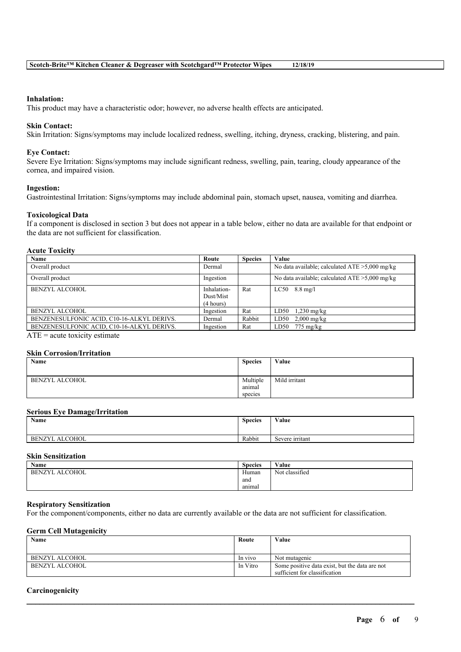#### **Inhalation:**

This product may have a characteristic odor; however, no adverse health effects are anticipated.

#### **Skin Contact:**

Skin Irritation: Signs/symptoms may include localized redness, swelling, itching, dryness, cracking, blistering, and pain.

#### **Eye Contact:**

Severe Eye Irritation: Signs/symptoms may include significant redness, swelling, pain, tearing, cloudy appearance of the cornea, and impaired vision.

#### **Ingestion:**

Gastrointestinal Irritation: Signs/symptoms may include abdominal pain, stomach upset, nausea, vomiting and diarrhea.

#### **Toxicological Data**

If a component is disclosed in section 3 but does not appear in a table below, either no data are available for that endpoint or the data are not sufficient for classification.

# **Acute Toxicity**

| Name                                       | Route       | <b>Species</b> | Value                                             |
|--------------------------------------------|-------------|----------------|---------------------------------------------------|
| Overall product                            | Dermal      |                | No data available; calculated $ATE > 5,000$ mg/kg |
| Overall product                            | Ingestion   |                | No data available; calculated $ATE > 5,000$ mg/kg |
| BENZYL ALCOHOL                             | Inhalation- | Rat            | $LC50$ 8.8 mg/l                                   |
|                                            | Dust/Mist   |                |                                                   |
|                                            | (4 hours)   |                |                                                   |
| <b>BENZYL ALCOHOL</b>                      | Ingestion   | Rat            | LD50<br>$1,230$ mg/kg                             |
| BENZENESULFONIC ACID, C10-16-ALKYL DERIVS. | Dermal      | Rabbit         | LD50<br>$2,000$ mg/kg                             |
| BENZENESULFONIC ACID, C10-16-ALKYL DERIVS. | Ingestion   | Rat            | LD50<br>$775 \text{ mg/kg}$                       |

 $ATE = acute$  toxicity estimate

#### **Skin Corrosion/Irritation**

| Name           | <b>Species</b> | Value         |
|----------------|----------------|---------------|
|                |                |               |
| BENZYL ALCOHOL | Multiple       | Mild irritant |
|                | anımal         |               |
|                | species        |               |

#### **Serious Eye Damage/Irritation**

| Name                            | <b>Species</b> | Value                     |
|---------------------------------|----------------|---------------------------|
| <b>ALCOHOL</b><br><b>BENZYL</b> | Rabbit         | $\sim$<br>Severe irritant |

#### **Skin Sensitization**

| Name                            | <b>Species</b> | Value          |
|---------------------------------|----------------|----------------|
| <b>ALCOHOL</b><br><b>BENZYL</b> | Human          | Not classified |
|                                 | and            |                |
|                                 | anımal         |                |

### **Respiratory Sensitization**

For the component/components, either no data are currently available or the data are not sufficient for classification.

#### **Germ Cell Mutagenicity**

| Name           | Route    | Value                                                                           |
|----------------|----------|---------------------------------------------------------------------------------|
|                |          |                                                                                 |
| BENZYL ALCOHOL | In vivo  | Not mutagenic                                                                   |
| BENZYL ALCOHOL | In Vitro | Some positive data exist, but the data are not<br>sufficient for classification |

 $\mathcal{L}_\mathcal{L} = \mathcal{L}_\mathcal{L} = \mathcal{L}_\mathcal{L} = \mathcal{L}_\mathcal{L} = \mathcal{L}_\mathcal{L} = \mathcal{L}_\mathcal{L} = \mathcal{L}_\mathcal{L} = \mathcal{L}_\mathcal{L} = \mathcal{L}_\mathcal{L} = \mathcal{L}_\mathcal{L} = \mathcal{L}_\mathcal{L} = \mathcal{L}_\mathcal{L} = \mathcal{L}_\mathcal{L} = \mathcal{L}_\mathcal{L} = \mathcal{L}_\mathcal{L} = \mathcal{L}_\mathcal{L} = \mathcal{L}_\mathcal{L}$ 

#### **Carcinogenicity**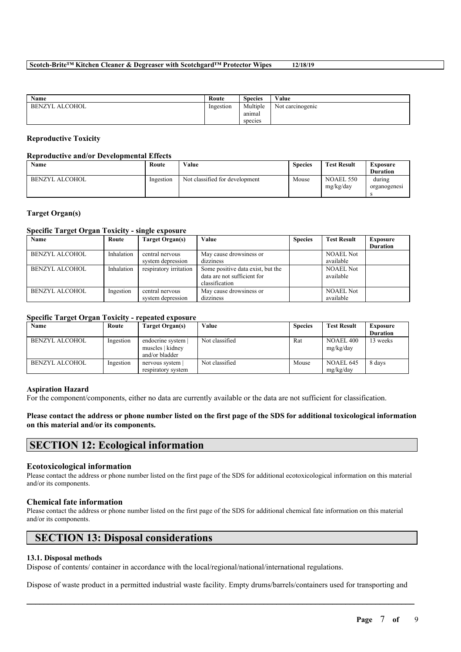**Scotch-Brite™ Kitchen Cleaner & Degreaser with Scotchgard™ Protector Wipes 12/18/19**

| <b>Name</b>           | Route     | $\sim$<br><b>Species</b> | Value            |
|-----------------------|-----------|--------------------------|------------------|
| <b>BENZYL ALCOHOL</b> | Ingestion | Multiple                 | Not carcinogenic |
|                       |           | anımal                   |                  |
|                       |           | species                  |                  |

#### **Reproductive Toxicity**

### **Reproductive and/or Developmental Effects**

| <b>Name</b>    | Route     | Value                          | <b>Species</b> | <b>Test Result</b>     | Exposure<br><b>Duration</b> |
|----------------|-----------|--------------------------------|----------------|------------------------|-----------------------------|
| BENZYL ALCOHOL | Ingestion | Not classified for development | Mouse          | NOAEL 550<br>mg/kg/day | during<br>organogenesi      |

#### **Target Organ(s)**

# **Specific Target Organ Toxicity - single exposure**

| Name                  | Route      | Target Organ(s)        | Value                             | <b>Species</b> | <b>Test Result</b> | Exposure        |
|-----------------------|------------|------------------------|-----------------------------------|----------------|--------------------|-----------------|
|                       |            |                        |                                   |                |                    | <b>Duration</b> |
| <b>BENZYL ALCOHOL</b> | Inhalation | central nervous        | May cause drowsiness or           |                | <b>NOAEL Not</b>   |                 |
|                       |            | system depression      | dizziness                         |                | available          |                 |
| <b>BENZYL ALCOHOL</b> | Inhalation | respiratory irritation | Some positive data exist, but the |                | <b>NOAEL Not</b>   |                 |
|                       |            |                        | data are not sufficient for       |                | available          |                 |
|                       |            |                        | classification                    |                |                    |                 |
| <b>BENZYL ALCOHOL</b> | Ingestion  | central nervous        | May cause drowsiness or           |                | <b>NOAEL Not</b>   |                 |
|                       |            | system depression      | dizziness                         |                | available          |                 |

# **Specific Target Organ Toxicity - repeated exposure**

| Name           | Route     | Target Organ(s)                                        | Value          | <b>Species</b> | <b>Test Result</b>            | Exposure<br><b>Duration</b> |
|----------------|-----------|--------------------------------------------------------|----------------|----------------|-------------------------------|-----------------------------|
| BENZYL ALCOHOL | Ingestion | endocrine system<br>muscles   kidney<br>and/or bladder | Not classified | Rat            | <b>NOAEL 400</b><br>mg/kg/day | 13 weeks                    |
| BENZYL ALCOHOL | Ingestion | nervous system<br>respiratory system                   | Not classified | Mouse          | NOAEL 645<br>mg/kg/day        | 8 days                      |

#### **Aspiration Hazard**

For the component/components, either no data are currently available or the data are not sufficient for classification.

### Please contact the address or phone number listed on the first page of the SDS for additional toxicological information **on this material and/or its components.**

# **SECTION 12: Ecological information**

#### **Ecotoxicological information**

Please contact the address or phone number listed on the first page of the SDS for additional ecotoxicological information on this material and/or its components.

### **Chemical fate information**

Please contact the address or phone number listed on the first page of the SDS for additional chemical fate information on this material and/or its components.

# **SECTION 13: Disposal considerations**

### **13.1. Disposal methods**

Dispose of contents/ container in accordance with the local/regional/national/international regulations.

Dispose of waste product in a permitted industrial waste facility. Empty drums/barrels/containers used for transporting and

 $\mathcal{L}_\mathcal{L} = \mathcal{L}_\mathcal{L} = \mathcal{L}_\mathcal{L} = \mathcal{L}_\mathcal{L} = \mathcal{L}_\mathcal{L} = \mathcal{L}_\mathcal{L} = \mathcal{L}_\mathcal{L} = \mathcal{L}_\mathcal{L} = \mathcal{L}_\mathcal{L} = \mathcal{L}_\mathcal{L} = \mathcal{L}_\mathcal{L} = \mathcal{L}_\mathcal{L} = \mathcal{L}_\mathcal{L} = \mathcal{L}_\mathcal{L} = \mathcal{L}_\mathcal{L} = \mathcal{L}_\mathcal{L} = \mathcal{L}_\mathcal{L}$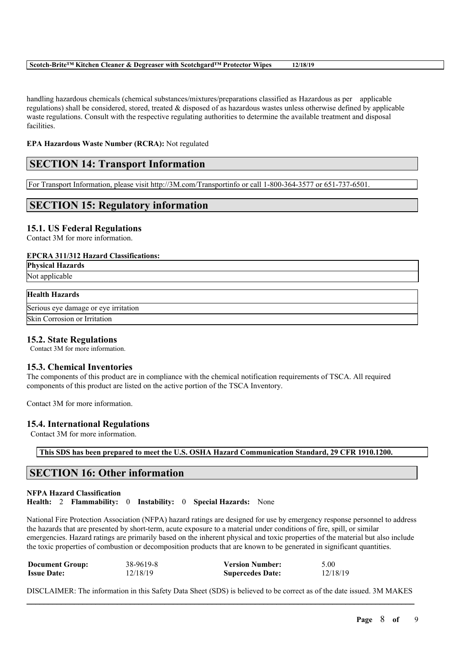handling hazardous chemicals (chemical substances/mixtures/preparations classified as Hazardous as per applicable regulations) shall be considered, stored, treated & disposed of as hazardous wastes unless otherwise defined by applicable waste regulations. Consult with the respective regulating authorities to determine the available treatment and disposal facilities.

## **EPA Hazardous Waste Number (RCRA):** Not regulated

# **SECTION 14: Transport Information**

For Transport Information, please visit http://3M.com/Transportinfo or call 1-800-364-3577 or 651-737-6501.

# **SECTION 15: Regulatory information**

# **15.1. US Federal Regulations**

Contact 3M for more information.

### **EPCRA 311/312 Hazard Classifications:**

**Physical Hazards**

Not applicable

# **Health Hazards**

Serious eye damage or eye irritation Skin Corrosion or Irritation

# **15.2. State Regulations**

Contact 3M for more information.

### **15.3. Chemical Inventories**

The components of this product are in compliance with the chemical notification requirements of TSCA. All required components of this product are listed on the active portion of the TSCA Inventory.

Contact 3M for more information.

### **15.4. International Regulations**

Contact 3M for more information.

**This SDS has been prepared to meet the U.S. OSHA Hazard Communication Standard, 29 CFR 1910.1200.**

# **SECTION 16: Other information**

### **NFPA Hazard Classification Health:** 2 **Flammability:** 0 **Instability:** 0 **Special Hazards:** None

National Fire Protection Association (NFPA) hazard ratings are designed for use by emergency response personnel to address the hazards that are presented by short-term, acute exposure to a material under conditions of fire, spill, or similar emergencies. Hazard ratings are primarily based on the inherent physical and toxic properties of the material but also include the toxic properties of combustion or decomposition products that are known to be generated in significant quantities.

| <b>Document Group:</b> | 38-9619-8 | <b>Version Number:</b>  | 5.00     |
|------------------------|-----------|-------------------------|----------|
| <b>Issue Date:</b>     | 12/18/19  | <b>Supercedes Date:</b> | 12/18/19 |

 $\mathcal{L}_\mathcal{L} = \mathcal{L}_\mathcal{L} = \mathcal{L}_\mathcal{L} = \mathcal{L}_\mathcal{L} = \mathcal{L}_\mathcal{L} = \mathcal{L}_\mathcal{L} = \mathcal{L}_\mathcal{L} = \mathcal{L}_\mathcal{L} = \mathcal{L}_\mathcal{L} = \mathcal{L}_\mathcal{L} = \mathcal{L}_\mathcal{L} = \mathcal{L}_\mathcal{L} = \mathcal{L}_\mathcal{L} = \mathcal{L}_\mathcal{L} = \mathcal{L}_\mathcal{L} = \mathcal{L}_\mathcal{L} = \mathcal{L}_\mathcal{L}$ DISCLAIMER: The information in this Safety Data Sheet (SDS) is believed to be correct as of the date issued. 3M MAKES